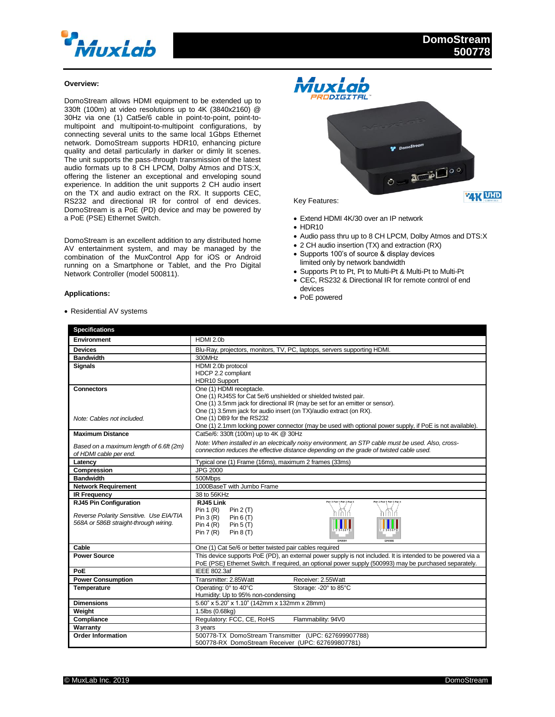

## **Overview:**

DomoStream allows HDMI equipment to be extended up to 330ft (100m) at video resolutions up to 4K (3840x2160) @ 30Hz via one (1) Cat5e/6 cable in point-to-point, point-tomultipoint and multipoint-to-multipoint configurations, by connecting several units to the same local 1Gbps Ethernet network. DomoStream supports HDR10, enhancing picture quality and detail particularly in darker or dimly lit scenes. The unit supports the pass-through transmission of the latest audio formats up to 8 CH LPCM, Dolby Atmos and DTS:X, offering the listener an exceptional and enveloping sound experience. In addition the unit supports 2 CH audio insert on the TX and audio extract on the RX. It supports CEC, RS232 and directional IR for control of end devices. DomoStream is a PoE (PD) device and may be powered by a PoE (PSE) Ethernet Switch.

DomoStream is an excellent addition to any distributed home AV entertainment system, and may be managed by the combination of the MuxControl App for iOS or Android running on a Smartphone or Tablet, and the Pro Digital Network Controller (model 500811).

## **Applications:**



- Extend HDMI 4K/30 over an IP network
- $\bullet$  HDR10

- Audio pass thru up to 8 CH LPCM, Dolby Atmos and DTS:X
- 2 CH audio insertion (TX) and extraction (RX) • Supports 100's of source & display devices
- limited only by network bandwidth
- Supports Pt to Pt, Pt to Multi-Pt & Multi-Pt to Multi-Pt CEC, RS232 & Directional IR for remote control of end
- devices
- PoE powered

| <b>Specifications</b>                                                            |                                                                                                                                                                                                                       |
|----------------------------------------------------------------------------------|-----------------------------------------------------------------------------------------------------------------------------------------------------------------------------------------------------------------------|
| <b>Environment</b>                                                               | HDMI 2.0b                                                                                                                                                                                                             |
| <b>Devices</b>                                                                   | Blu-Ray, projectors, monitors, TV, PC, laptops, servers supporting HDMI.                                                                                                                                              |
| <b>Bandwidth</b>                                                                 | 300MHz                                                                                                                                                                                                                |
| <b>Signals</b>                                                                   | HDMI 2.0b protocol                                                                                                                                                                                                    |
|                                                                                  | HDCP 2.2 compliant                                                                                                                                                                                                    |
|                                                                                  | HDR10 Support                                                                                                                                                                                                         |
| <b>Connectors</b>                                                                | One (1) HDMI receptacle.                                                                                                                                                                                              |
|                                                                                  | One (1) RJ45S for Cat 5e/6 unshielded or shielded twisted pair.                                                                                                                                                       |
|                                                                                  | One (1) 3.5mm jack for directional IR (may be set for an emitter or sensor).                                                                                                                                          |
|                                                                                  | One (1) 3.5mm jack for audio insert (on TX)/audio extract (on RX).                                                                                                                                                    |
| Note: Cables not included.                                                       | One (1) DB9 for the RS232                                                                                                                                                                                             |
|                                                                                  | One (1) 2.1mm locking power connector (may be used with optional power supply, if PoE is not available).                                                                                                              |
| <b>Maximum Distance</b>                                                          | Cat5e/6: 330ft (100m) up to 4K @ 30Hz                                                                                                                                                                                 |
| Based on a maximum length of 6.6ft (2m)                                          | Note: When installed in an electrically noisy environment, an STP cable must be used. Also, cross-                                                                                                                    |
| of HDMI cable per end.                                                           | connection reduces the effective distance depending on the grade of twisted cable used.                                                                                                                               |
| Latency                                                                          | Typical one (1) Frame (16ms), maximum 2 frames (33ms)                                                                                                                                                                 |
| Compression                                                                      | <b>JPG 2000</b>                                                                                                                                                                                                       |
| <b>Bandwidth</b>                                                                 | 500Mbps                                                                                                                                                                                                               |
| <b>Network Requirement</b>                                                       | 1000BaseT with Jumbo Frame                                                                                                                                                                                            |
| <b>IR Frequency</b>                                                              | 38 to 56KHz                                                                                                                                                                                                           |
| <b>RJ45 Pin Configuration</b>                                                    | RJ45 Link<br>Pair 3 Pair 1 Pair 2 Pair<br>Pair 2 Pair 1 Pair 3 Pair 4                                                                                                                                                 |
|                                                                                  | Pin $1(R)$<br>Pin $2(T)$                                                                                                                                                                                              |
| Reverse Polarity Sensitive. Use EIA/TIA<br>568A or 586B straight-through wiring. | Pin 3(R)<br>Pin $6(T)$                                                                                                                                                                                                |
|                                                                                  | Pin $4(R)$<br>Pin $5(T)$                                                                                                                                                                                              |
|                                                                                  | Pin $7(R)$<br>Pin $8(T)$                                                                                                                                                                                              |
|                                                                                  | FIASSRR<br>FIASSRA                                                                                                                                                                                                    |
| Cable                                                                            | One (1) Cat 5e/6 or better twisted pair cables required                                                                                                                                                               |
| <b>Power Source</b>                                                              | This device supports PoE (PD), an external power supply is not included. It is intended to be powered via a<br>PoE (PSE) Ethernet Switch. If required, an optional power supply (500993) may be purchased separately. |
| PoE                                                                              | <b>IEEE 802.3af</b>                                                                                                                                                                                                   |
| <b>Power Consumption</b>                                                         | Transmitter: 2.85Watt<br>Receiver: 2.55Watt                                                                                                                                                                           |
| Temperature                                                                      | Operating: 0° to 40°C<br>Storage: - 20° to 85°C                                                                                                                                                                       |
|                                                                                  | Humidity: Up to 95% non-condensing                                                                                                                                                                                    |
| <b>Dimensions</b>                                                                | 5.60" x 5.20" x 1.10" (142mm x 132mm x 28mm)                                                                                                                                                                          |
| Weight                                                                           | 1.5lbs (0.68kg)                                                                                                                                                                                                       |
| Compliance                                                                       | Regulatory: FCC, CE, RoHS<br>Flammability: 94V0                                                                                                                                                                       |
| Warranty                                                                         | 3 years                                                                                                                                                                                                               |
| <b>Order Information</b>                                                         | 500778-TX DomoStream Transmitter (UPC: 627699907788)                                                                                                                                                                  |
|                                                                                  | 500778-RX DomoStream Receiver (UPC: 627699807781)                                                                                                                                                                     |

Residential AV systems